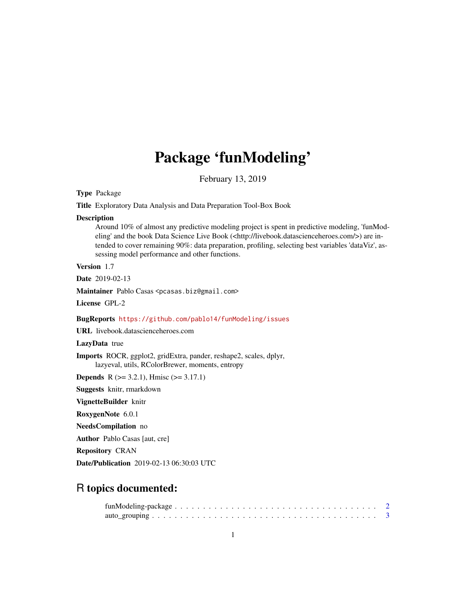# Package 'funModeling'

February 13, 2019

Type Package

Title Exploratory Data Analysis and Data Preparation Tool-Box Book

### Description

Around 10% of almost any predictive modeling project is spent in predictive modeling, 'funModeling' and the book Data Science Live Book (<http://livebook.datascienceheroes.com/>) are intended to cover remaining 90%: data preparation, profiling, selecting best variables 'dataViz', assessing model performance and other functions.

Version 1.7

Date 2019-02-13

Maintainer Pablo Casas <pcasas.biz@gmail.com>

License GPL-2

### BugReports <https://github.com/pablo14/funModeling/issues>

URL livebook.datascienceheroes.com

LazyData true

Imports ROCR, ggplot2, gridExtra, pander, reshape2, scales, dplyr, lazyeval, utils, RColorBrewer, moments, entropy

**Depends** R ( $>= 3.2.1$ ), Hmisc ( $>= 3.17.1$ )

Suggests knitr, rmarkdown

VignetteBuilder knitr

RoxygenNote 6.0.1

NeedsCompilation no

Author Pablo Casas [aut, cre]

Repository CRAN

Date/Publication 2019-02-13 06:30:03 UTC

# R topics documented: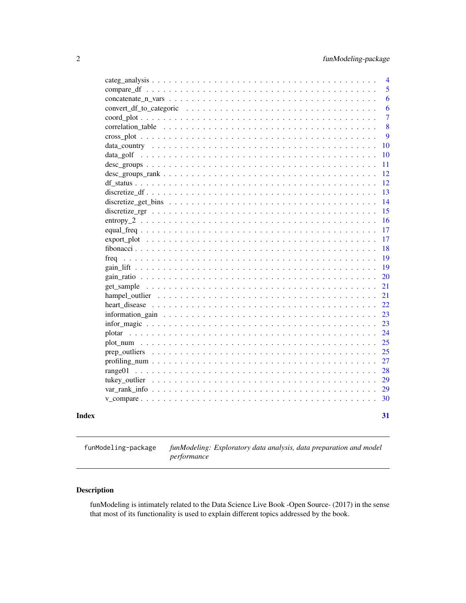<span id="page-1-0"></span>

|       |                                                                                                                       |  |  |  |  |  |  |  |  |  |  |  |  |  |  |  | $\overline{4}$ |
|-------|-----------------------------------------------------------------------------------------------------------------------|--|--|--|--|--|--|--|--|--|--|--|--|--|--|--|----------------|
|       |                                                                                                                       |  |  |  |  |  |  |  |  |  |  |  |  |  |  |  | 5              |
|       |                                                                                                                       |  |  |  |  |  |  |  |  |  |  |  |  |  |  |  | 6              |
|       |                                                                                                                       |  |  |  |  |  |  |  |  |  |  |  |  |  |  |  | 6              |
|       |                                                                                                                       |  |  |  |  |  |  |  |  |  |  |  |  |  |  |  | $\overline{7}$ |
|       |                                                                                                                       |  |  |  |  |  |  |  |  |  |  |  |  |  |  |  | 8              |
|       |                                                                                                                       |  |  |  |  |  |  |  |  |  |  |  |  |  |  |  | 9              |
|       |                                                                                                                       |  |  |  |  |  |  |  |  |  |  |  |  |  |  |  | 10             |
|       |                                                                                                                       |  |  |  |  |  |  |  |  |  |  |  |  |  |  |  | 10             |
|       |                                                                                                                       |  |  |  |  |  |  |  |  |  |  |  |  |  |  |  | 11             |
|       | $\text{desc\_groups\_rank} \dots \dots \dots \dots \dots \dots \dots \dots \dots \dots \dots \dots \dots \dots \dots$ |  |  |  |  |  |  |  |  |  |  |  |  |  |  |  | 12             |
|       |                                                                                                                       |  |  |  |  |  |  |  |  |  |  |  |  |  |  |  | 12             |
|       |                                                                                                                       |  |  |  |  |  |  |  |  |  |  |  |  |  |  |  | 13             |
|       |                                                                                                                       |  |  |  |  |  |  |  |  |  |  |  |  |  |  |  | 14             |
|       |                                                                                                                       |  |  |  |  |  |  |  |  |  |  |  |  |  |  |  | 15             |
|       |                                                                                                                       |  |  |  |  |  |  |  |  |  |  |  |  |  |  |  | 16             |
|       |                                                                                                                       |  |  |  |  |  |  |  |  |  |  |  |  |  |  |  | 17             |
|       |                                                                                                                       |  |  |  |  |  |  |  |  |  |  |  |  |  |  |  | 17             |
|       |                                                                                                                       |  |  |  |  |  |  |  |  |  |  |  |  |  |  |  | 18             |
|       |                                                                                                                       |  |  |  |  |  |  |  |  |  |  |  |  |  |  |  | 19             |
|       |                                                                                                                       |  |  |  |  |  |  |  |  |  |  |  |  |  |  |  | 19             |
|       |                                                                                                                       |  |  |  |  |  |  |  |  |  |  |  |  |  |  |  | 20             |
|       |                                                                                                                       |  |  |  |  |  |  |  |  |  |  |  |  |  |  |  | 21             |
|       |                                                                                                                       |  |  |  |  |  |  |  |  |  |  |  |  |  |  |  | 21             |
|       |                                                                                                                       |  |  |  |  |  |  |  |  |  |  |  |  |  |  |  | 22             |
|       |                                                                                                                       |  |  |  |  |  |  |  |  |  |  |  |  |  |  |  | 23             |
|       |                                                                                                                       |  |  |  |  |  |  |  |  |  |  |  |  |  |  |  | 23             |
|       |                                                                                                                       |  |  |  |  |  |  |  |  |  |  |  |  |  |  |  | 24             |
|       |                                                                                                                       |  |  |  |  |  |  |  |  |  |  |  |  |  |  |  | 25             |
|       |                                                                                                                       |  |  |  |  |  |  |  |  |  |  |  |  |  |  |  | 25             |
|       |                                                                                                                       |  |  |  |  |  |  |  |  |  |  |  |  |  |  |  | 27             |
|       |                                                                                                                       |  |  |  |  |  |  |  |  |  |  |  |  |  |  |  | 28             |
|       |                                                                                                                       |  |  |  |  |  |  |  |  |  |  |  |  |  |  |  | 29             |
|       |                                                                                                                       |  |  |  |  |  |  |  |  |  |  |  |  |  |  |  | 29             |
|       |                                                                                                                       |  |  |  |  |  |  |  |  |  |  |  |  |  |  |  | 30             |
| Index |                                                                                                                       |  |  |  |  |  |  |  |  |  |  |  |  |  |  |  | 31             |

funModeling-package *funModeling: Exploratory data analysis, data preparation and model performance*

# Description

funModeling is intimately related to the Data Science Live Book -Open Source- (2017) in the sense that most of its functionality is used to explain different topics addressed by the book.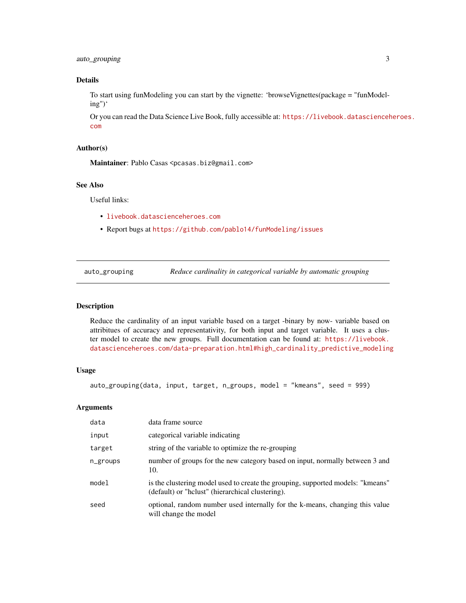# <span id="page-2-0"></span>auto\_grouping 3

# Details

To start using funModeling you can start by the vignette: 'browseVignettes(package = "funModeling")'

Or you can read the Data Science Live Book, fully accessible at: [https://livebook.datascienceh](https://livebook.datascienceheroes.com)eroes. [com](https://livebook.datascienceheroes.com)

### Author(s)

Maintainer: Pablo Casas <pcasas.biz@gmail.com>

# See Also

Useful links:

- <livebook.datascienceheroes.com>
- Report bugs at <https://github.com/pablo14/funModeling/issues>

auto\_grouping *Reduce cardinality in categorical variable by automatic grouping*

# Description

Reduce the cardinality of an input variable based on a target -binary by now- variable based on attribitues of accuracy and representativity, for both input and target variable. It uses a cluster model to create the new groups. Full documentation can be found at: [https://livebook.](https://livebook.datascienceheroes.com/data-preparation.html#high_cardinality_predictive_modeling) [datascienceheroes.com/data-preparation.html#high\\_cardinality\\_predictive\\_modeling](https://livebook.datascienceheroes.com/data-preparation.html#high_cardinality_predictive_modeling)

### Usage

```
auto_grouping(data, input, target, n_groups, model = "kmeans", seed = 999)
```
### Arguments

| data     | data frame source                                                                                                                   |
|----------|-------------------------------------------------------------------------------------------------------------------------------------|
| input    | categorical variable indicating                                                                                                     |
| target   | string of the variable to optimize the re-grouping                                                                                  |
| n_groups | number of groups for the new category based on input, normally between 3 and<br>10.                                                 |
| model    | is the clustering model used to create the grouping, supported models: "kmeans"<br>(default) or "helust" (hierarchical clustering). |
| seed     | optional, random number used internally for the k-means, changing this value<br>will change the model                               |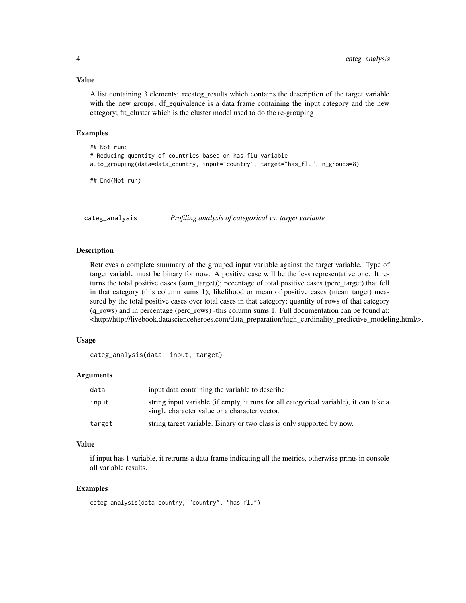# <span id="page-3-0"></span>Value

A list containing 3 elements: recateg\_results which contains the description of the target variable with the new groups; df\_equivalence is a data frame containing the input category and the new category; fit\_cluster which is the cluster model used to do the re-grouping

# Examples

```
## Not run:
# Reducing quantity of countries based on has_flu variable
auto_grouping(data=data_country, input='country', target="has_flu", n_groups=8)
```
## End(Not run)

categ\_analysis *Profiling analysis of categorical vs. target variable*

# **Description**

Retrieves a complete summary of the grouped input variable against the target variable. Type of target variable must be binary for now. A positive case will be the less representative one. It returns the total positive cases (sum\_target)); pecentage of total positive cases (perc\_target) that fell in that category (this column sums 1); likelihood or mean of positive cases (mean\_target) measured by the total positive cases over total cases in that category; quantity of rows of that category (q\_rows) and in percentage (perc\_rows) -this column sums 1. Full documentation can be found at:  $\lt$ http://http://livebook.datascienceheroes.com/data\_preparation/high\_cardinality\_predictive\_modeling.html/>.

# Usage

categ\_analysis(data, input, target)

### Arguments

| data   | input data containing the variable to describe                                                                                         |
|--------|----------------------------------------------------------------------------------------------------------------------------------------|
| input  | string input variable (if empty, it runs for all categorical variable), it can take a<br>single character value or a character vector. |
| target | string target variable. Binary or two class is only supported by now.                                                                  |

# Value

if input has 1 variable, it retrurns a data frame indicating all the metrics, otherwise prints in console all variable results.

```
categ_analysis(data_country, "country", "has_flu")
```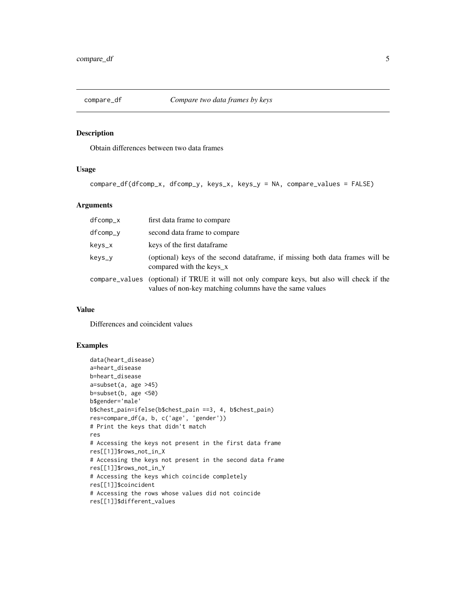<span id="page-4-0"></span>

Obtain differences between two data frames

# Usage

```
compare_df(dfcomp_x, dfcomp_y, keys_x, keys_y = NA, compare_values = FALSE)
```
# Arguments

| dfcomp_x | first data frame to compare                                                                                                                            |
|----------|--------------------------------------------------------------------------------------------------------------------------------------------------------|
| dfcomp_y | second data frame to compare                                                                                                                           |
| keys_x   | keys of the first dataframe.                                                                                                                           |
| keys_y   | (optional) keys of the second dataframe, if missing both data frames will be<br>compared with the keys x                                               |
|          | compare_values (optional) if TRUE it will not only compare keys, but also will check if the<br>values of non-key matching columns have the same values |

### Value

Differences and coincident values

```
data(heart_disease)
a=heart_disease
b=heart_disease
a=subset(a, age >45)
b=subset(b, age <50)
b$gender='male'
b$chest_pain=ifelse(b$chest_pain ==3, 4, b$chest_pain)
res=compare_df(a, b, c('age', 'gender'))
# Print the keys that didn't match
res
# Accessing the keys not present in the first data frame
res[[1]]$rows_not_in_X
# Accessing the keys not present in the second data frame
res[[1]]$rows_not_in_Y
# Accessing the keys which coincide completely
res[[1]]$coincident
# Accessing the rows whose values did not coincide
res[[1]]$different_values
```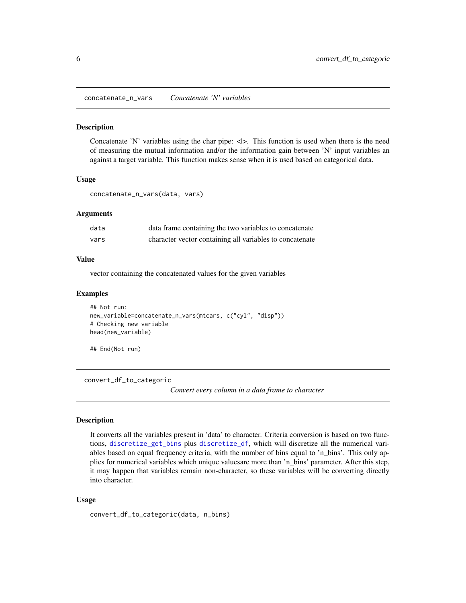<span id="page-5-0"></span>concatenate\_n\_vars *Concatenate 'N' variables*

#### Description

Concatenate 'N' variables using the char pipe:  $\langle \rangle$ . This function is used when there is the need of measuring the mutual information and/or the information gain between 'N' input variables an against a target variable. This function makes sense when it is used based on categorical data.

### Usage

```
concatenate_n_vars(data, vars)
```
# Arguments

| data | data frame containing the two variables to concatenate   |
|------|----------------------------------------------------------|
| vars | character vector containing all variables to concatenate |

### Value

vector containing the concatenated values for the given variables

### Examples

```
## Not run:
new_variable=concatenate_n_vars(mtcars, c("cyl", "disp"))
# Checking new variable
head(new_variable)
```
## End(Not run)

convert\_df\_to\_categoric

*Convert every column in a data frame to character*

#### Description

It converts all the variables present in 'data' to character. Criteria conversion is based on two functions, [discretize\\_get\\_bins](#page-13-1) plus [discretize\\_df](#page-12-1), which will discretize all the numerical variables based on equal frequency criteria, with the number of bins equal to 'n\_bins'. This only applies for numerical variables which unique valuesare more than 'n\_bins' parameter. After this step, it may happen that variables remain non-character, so these variables will be converting directly into character.

#### Usage

```
convert_df_to_categoric(data, n_bins)
```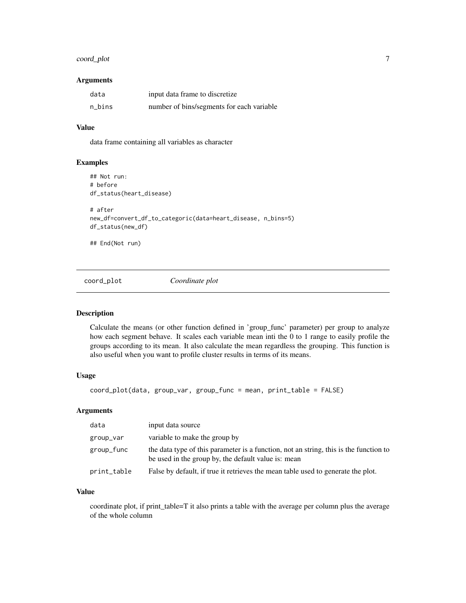# <span id="page-6-0"></span>coord\_plot 7

### **Arguments**

| data   | input data frame to discretize            |
|--------|-------------------------------------------|
| n bins | number of bins/segments for each variable |

# Value

data frame containing all variables as character

# Examples

```
## Not run:
# before
df_status(heart_disease)
# after
new_df=convert_df_to_categoric(data=heart_disease, n_bins=5)
df_status(new_df)
## End(Not run)
```
coord\_plot *Coordinate plot*

# Description

Calculate the means (or other function defined in 'group\_func' parameter) per group to analyze how each segment behave. It scales each variable mean inti the 0 to 1 range to easily profile the groups according to its mean. It also calculate the mean regardless the grouping. This function is also useful when you want to profile cluster results in terms of its means.

### Usage

coord\_plot(data, group\_var, group\_func = mean, print\_table = FALSE)

### Arguments

| data        | input data source                                                                                                                            |
|-------------|----------------------------------------------------------------------------------------------------------------------------------------------|
| group_var   | variable to make the group by                                                                                                                |
| group_func  | the data type of this parameter is a function, not an string, this is the function to<br>be used in the group by, the default value is: mean |
| print_table | False by default, if true it retrieves the mean table used to generate the plot.                                                             |

### Value

coordinate plot, if print\_table=T it also prints a table with the average per column plus the average of the whole column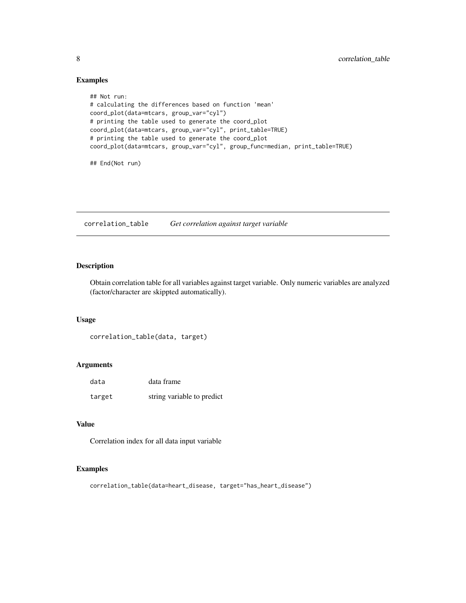# Examples

```
## Not run:
# calculating the differences based on function 'mean'
coord_plot(data=mtcars, group_var="cyl")
# printing the table used to generate the coord_plot
coord_plot(data=mtcars, group_var="cyl", print_table=TRUE)
# printing the table used to generate the coord_plot
coord_plot(data=mtcars, group_var="cyl", group_func=median, print_table=TRUE)
## End(Not run)
```
correlation\_table *Get correlation against target variable*

# Description

Obtain correlation table for all variables against target variable. Only numeric variables are analyzed (factor/character are skippted automatically).

### Usage

```
correlation_table(data, target)
```
# Arguments

| data   | data frame                 |
|--------|----------------------------|
| target | string variable to predict |

# Value

Correlation index for all data input variable

```
correlation_table(data=heart_disease, target="has_heart_disease")
```
<span id="page-7-0"></span>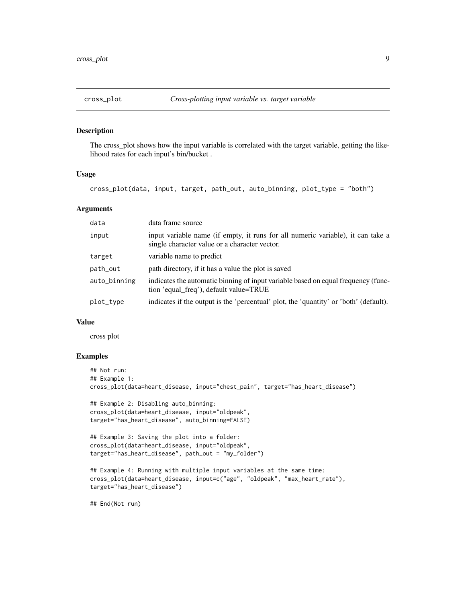<span id="page-8-0"></span>

The cross\_plot shows how the input variable is correlated with the target variable, getting the likelihood rates for each input's bin/bucket .

### Usage

cross\_plot(data, input, target, path\_out, auto\_binning, plot\_type = "both")

# Arguments

| data         | data frame source                                                                                                                |
|--------------|----------------------------------------------------------------------------------------------------------------------------------|
| input        | input variable name (if empty, it runs for all numeric variable), it can take a<br>single character value or a character vector. |
| target       | variable name to predict                                                                                                         |
| path_out     | path directory, if it has a value the plot is saved                                                                              |
| auto_binning | indicates the automatic binning of input variable based on equal frequency (func-<br>tion 'equal_freq'), default value=TRUE      |
| plot_type    | indicates if the output is the 'percentual' plot, the 'quantity' or 'both' (default).                                            |

# Value

cross plot

### Examples

```
## Not run:
## Example 1:
cross_plot(data=heart_disease, input="chest_pain", target="has_heart_disease")
## Example 2: Disabling auto_binning:
cross_plot(data=heart_disease, input="oldpeak",
target="has_heart_disease", auto_binning=FALSE)
## Example 3: Saving the plot into a folder:
cross_plot(data=heart_disease, input="oldpeak",
target="has_heart_disease", path_out = "my_folder")
## Example 4: Running with multiple input variables at the same time:
cross_plot(data=heart_disease, input=c("age", "oldpeak", "max_heart_rate"),
target="has_heart_disease")
```
## End(Not run)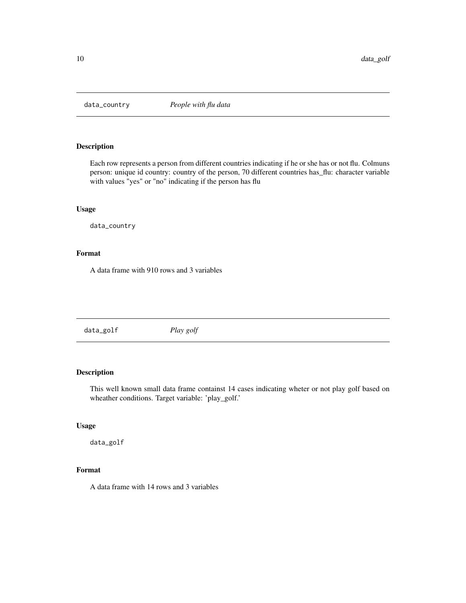<span id="page-9-0"></span>

Each row represents a person from different countries indicating if he or she has or not flu. Colmuns person: unique id country: country of the person, 70 different countries has\_flu: character variable with values "yes" or "no" indicating if the person has flu

# Usage

data\_country

# Format

A data frame with 910 rows and 3 variables

data\_golf *Play golf*

# Description

This well known small data frame containst 14 cases indicating wheter or not play golf based on wheather conditions. Target variable: 'play\_golf.'

### Usage

data\_golf

# Format

A data frame with 14 rows and 3 variables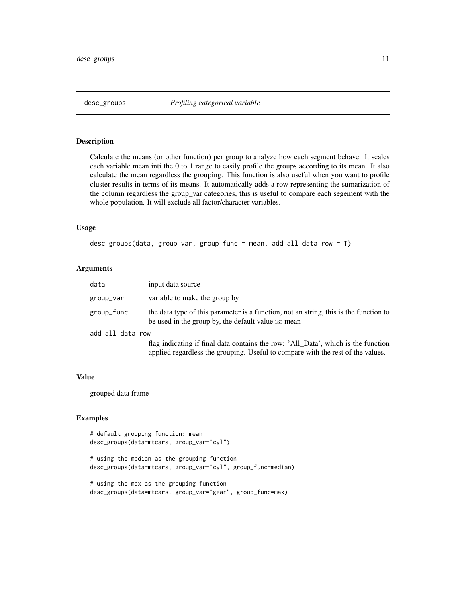<span id="page-10-0"></span>

Calculate the means (or other function) per group to analyze how each segment behave. It scales each variable mean inti the 0 to 1 range to easily profile the groups according to its mean. It also calculate the mean regardless the grouping. This function is also useful when you want to profile cluster results in terms of its means. It automatically adds a row representing the sumarization of the column regardless the group\_var categories, this is useful to compare each segement with the whole population. It will exclude all factor/character variables.

# Usage

```
desc_groups(data, group_var, group_func = mean, add_all_data_row = T)
```
# Arguments

| data             | input data source                                                                                                                                                    |
|------------------|----------------------------------------------------------------------------------------------------------------------------------------------------------------------|
| group_var        | variable to make the group by                                                                                                                                        |
| group_func       | the data type of this parameter is a function, not an string, this is the function to<br>be used in the group by, the default value is: mean                         |
| add_all_data_row |                                                                                                                                                                      |
|                  | flag indicating if final data contains the row: 'All_Data', which is the function<br>applied regardless the grouping. Useful to compare with the rest of the values. |

### Value

grouped data frame

```
# default grouping function: mean
desc_groups(data=mtcars, group_var="cyl")
```

```
# using the median as the grouping function
desc_groups(data=mtcars, group_var="cyl", group_func=median)
```

```
# using the max as the grouping function
desc_groups(data=mtcars, group_var="gear", group_func=max)
```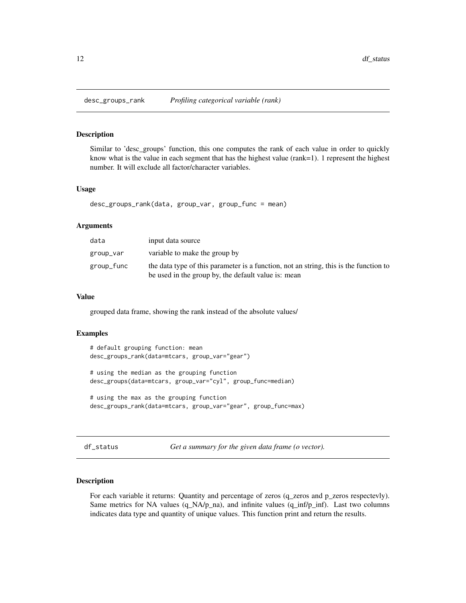<span id="page-11-0"></span>

Similar to 'desc\_groups' function, this one computes the rank of each value in order to quickly know what is the value in each segment that has the highest value (rank=1). 1 represent the highest number. It will exclude all factor/character variables.

#### Usage

desc\_groups\_rank(data, group\_var, group\_func = mean)

### Arguments

| data       | input data source                                                                                                                            |
|------------|----------------------------------------------------------------------------------------------------------------------------------------------|
| group_var  | variable to make the group by                                                                                                                |
| group_func | the data type of this parameter is a function, not an string, this is the function to<br>be used in the group by, the default value is: mean |

# Value

grouped data frame, showing the rank instead of the absolute values/

### Examples

```
# default grouping function: mean
desc_groups_rank(data=mtcars, group_var="gear")
# using the median as the grouping function
desc_groups(data=mtcars, group_var="cyl", group_func=median)
# using the max as the grouping function
desc_groups_rank(data=mtcars, group_var="gear", group_func=max)
```

```
df_status Get a summary for the given data frame (o vector).
```
### Description

For each variable it returns: Quantity and percentage of zeros (q\_zeros and p\_zeros respectevly). Same metrics for NA values  $(q_NA/p_na)$ , and infinite values  $(q_infp_infp)$ . Last two columns indicates data type and quantity of unique values. This function print and return the results.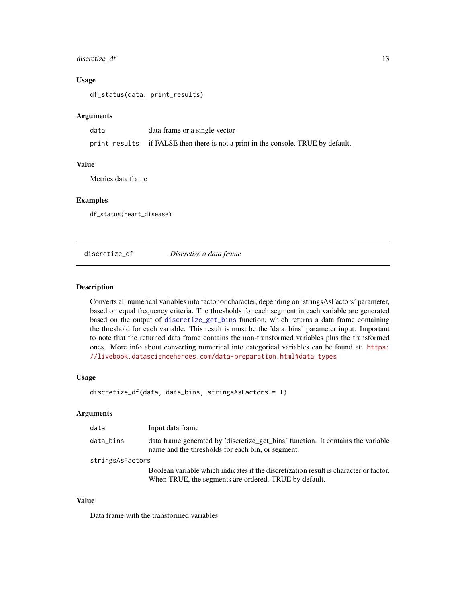# <span id="page-12-0"></span>discretize\_df 13

### Usage

df\_status(data, print\_results)

### Arguments

| data | data frame or a single vector                                                     |
|------|-----------------------------------------------------------------------------------|
|      | print_results if FALSE then there is not a print in the console, TRUE by default. |

# Value

Metrics data frame

# Examples

df\_status(heart\_disease)

<span id="page-12-1"></span>discretize\_df *Discretize a data frame*

### Description

Converts all numerical variables into factor or character, depending on 'stringsAsFactors' parameter, based on equal frequency criteria. The thresholds for each segment in each variable are generated based on the output of [discretize\\_get\\_bins](#page-13-1) function, which returns a data frame containing the threshold for each variable. This result is must be the 'data\_bins' parameter input. Important to note that the returned data frame contains the non-transformed variables plus the transformed ones. More info about converting numerical into categorical variables can be found at: [https:](https://livebook.datascienceheroes.com/data-preparation.html#data_types) [//livebook.datascienceheroes.com/data-preparation.html#data\\_types](https://livebook.datascienceheroes.com/data-preparation.html#data_types)

# Usage

discretize\_df(data, data\_bins, stringsAsFactors = T)

### Arguments

| data             | Input data frame                                                                                                                               |
|------------------|------------------------------------------------------------------------------------------------------------------------------------------------|
| data_bins        | data frame generated by 'discretize_get_bins' function. It contains the variable<br>name and the thresholds for each bin, or segment.          |
| stringsAsFactors |                                                                                                                                                |
|                  | Boolean variable which indicates if the discretization result is character or factor.<br>When TRUE, the segments are ordered. TRUE by default. |

### Value

Data frame with the transformed variables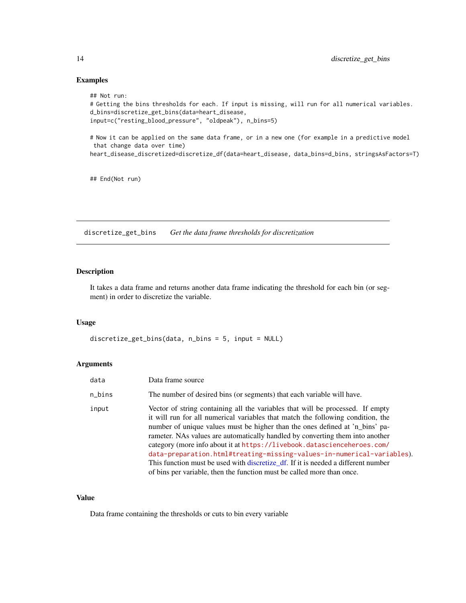## Examples

```
## Not run:
# Getting the bins thresholds for each. If input is missing, will run for all numerical variables.
d_bins=discretize_get_bins(data=heart_disease,
input=c("resting_blood_pressure", "oldpeak"), n_bins=5)
# Now it can be applied on the same data frame, or in a new one (for example in a predictive model
that change data over time)
heart_disease_discretized=discretize_df(data=heart_disease, data_bins=d_bins, stringsAsFactors=T)
```
## End(Not run)

<span id="page-13-1"></span>discretize\_get\_bins *Get the data frame thresholds for discretization*

# Description

It takes a data frame and returns another data frame indicating the threshold for each bin (or segment) in order to discretize the variable.

# Usage

discretize\_get\_bins(data, n\_bins = 5, input = NULL)

# Arguments

| data   | Data frame source                                                                                                                                                                                                                                                                                                                                                                                                                                                                                                                                                                                                                                      |
|--------|--------------------------------------------------------------------------------------------------------------------------------------------------------------------------------------------------------------------------------------------------------------------------------------------------------------------------------------------------------------------------------------------------------------------------------------------------------------------------------------------------------------------------------------------------------------------------------------------------------------------------------------------------------|
| n_bins | The number of desired bins (or segments) that each variable will have.                                                                                                                                                                                                                                                                                                                                                                                                                                                                                                                                                                                 |
| input  | Vector of string containing all the variables that will be processed. If empty<br>it will run for all numerical variables that match the following condition, the<br>number of unique values must be higher than the ones defined at 'n_bins' pa-<br>rameter. NAs values are automatically handled by converting them into another<br>category (more info about it at https://livebook.datascienceheroes.com/<br>data-preparation.html#treating-missing-values-in-numerical-variables).<br>This function must be used with discretize_df. If it is needed a different number<br>of bins per variable, then the function must be called more than once. |

# Value

Data frame containing the thresholds or cuts to bin every variable

<span id="page-13-0"></span>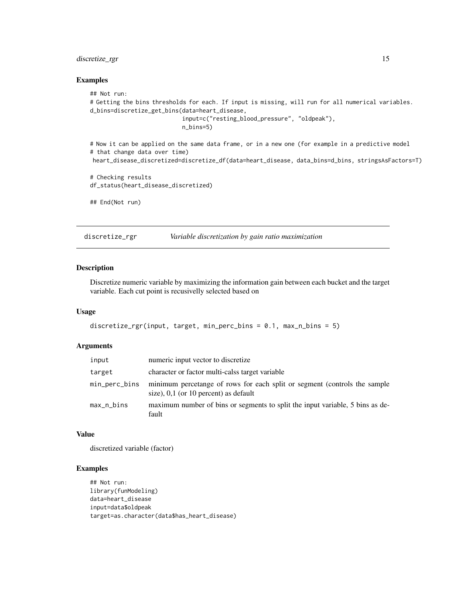# <span id="page-14-0"></span>discretize\_rgr 15

#### Examples

```
## Not run:
# Getting the bins thresholds for each. If input is missing, will run for all numerical variables.
d_bins=discretize_get_bins(data=heart_disease,
                           input=c("resting_blood_pressure", "oldpeak"),
                           n_bins=5)
# Now it can be applied on the same data frame, or in a new one (for example in a predictive model
# that change data over time)
heart_disease_discretized=discretize_df(data=heart_disease, data_bins=d_bins, stringsAsFactors=T)
# Checking results
df_status(heart_disease_discretized)
## End(Not run)
```
discretize\_rgr *Variable discretization by gain ratio maximization*

# Description

Discretize numeric variable by maximizing the information gain between each bucket and the target variable. Each cut point is recusivelly selected based on

#### Usage

```
discretize_rgr(input, target, min_perc_bins = 0.1, max_n_bins = 5)
```
### Arguments

| input         | numeric input vector to discretize                                                                                   |
|---------------|----------------------------------------------------------------------------------------------------------------------|
| target        | character or factor multi-calss target variable                                                                      |
| min_perc_bins | minimum percetange of rows for each split or segment (controls the sample<br>size), $0.1$ (or 10 percent) as default |
| max_n_bins    | maximum number of bins or segments to split the input variable, 5 bins as de-<br>fault                               |

#### Value

discretized variable (factor)

```
## Not run:
library(funModeling)
data=heart_disease
input=data$oldpeak
target=as.character(data$has_heart_disease)
```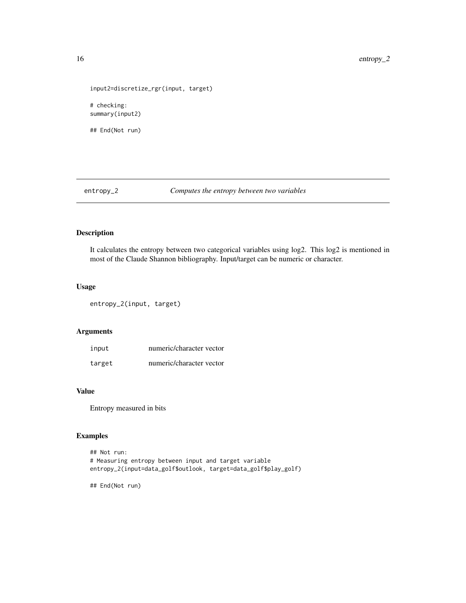```
input2=discretize_rgr(input, target)
# checking:
summary(input2)
## End(Not run)
```
entropy\_2 *Computes the entropy between two variables*

# Description

It calculates the entropy between two categorical variables using log2. This log2 is mentioned in most of the Claude Shannon bibliography. Input/target can be numeric or character.

## Usage

entropy\_2(input, target)

# Arguments

| input  | numeric/character vector |
|--------|--------------------------|
| target | numeric/character vector |

# Value

Entropy measured in bits

# Examples

```
## Not run:
# Measuring entropy between input and target variable
entropy_2(input=data_golf$outlook, target=data_golf$play_golf)
```
## End(Not run)

<span id="page-15-0"></span>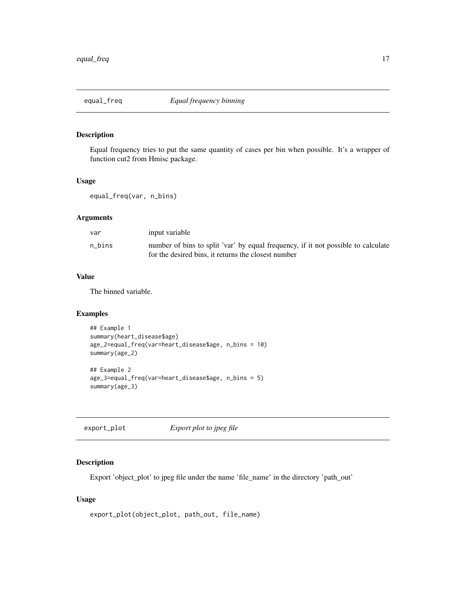<span id="page-16-0"></span>

Equal frequency tries to put the same quantity of cases per bin when possible. It's a wrapper of function cut2 from Hmisc package.

### Usage

equal\_freq(var, n\_bins)

# Arguments

| var    | input variable                                                                                                                           |
|--------|------------------------------------------------------------------------------------------------------------------------------------------|
| n bins | number of bins to split 'var' by equal frequency, if it not possible to calculate<br>for the desired bins, it returns the closest number |

# Value

The binned variable.

# Examples

```
## Example 1
summary(heart_disease$age)
age_2=equal_freq(var=heart_disease$age, n_bins = 10)
summary(age_2)
## Example 2
age_3=equal_freq(var=heart_disease$age, n_bins = 5)
summary(age_3)
```
export\_plot *Export plot to jpeg file*

# Description

Export 'object\_plot' to jpeg file under the name 'file\_name' in the directory 'path\_out'

# Usage

```
export_plot(object_plot, path_out, file_name)
```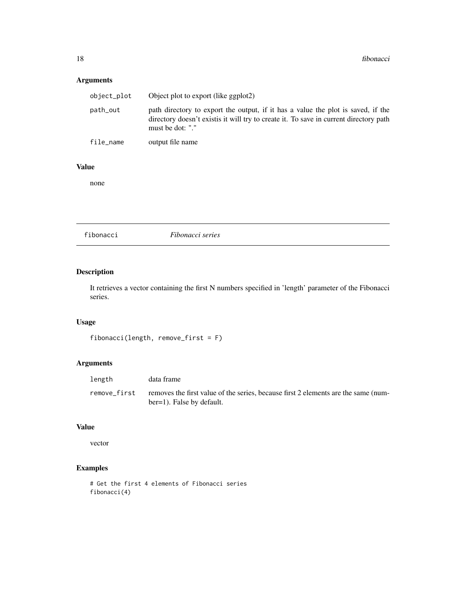# <span id="page-17-0"></span>Arguments

| object_plot | Object plot to export (like ggplot2)                                                                                                                                                          |
|-------------|-----------------------------------------------------------------------------------------------------------------------------------------------------------------------------------------------|
| path_out    | path directory to export the output, if it has a value the plot is saved, if the<br>directory doesn't existis it will try to create it. To save in current directory path<br>must be dot: "." |
| file_name   | output file name                                                                                                                                                                              |

# Value

none

| fibonacci | Fibonacci series |  |
|-----------|------------------|--|
|-----------|------------------|--|

# Description

It retrieves a vector containing the first N numbers specified in 'length' parameter of the Fibonacci series.

# Usage

```
fibonacci(length, remove_first = F)
```
# Arguments

| length       | data frame                                                                                                      |
|--------------|-----------------------------------------------------------------------------------------------------------------|
| remove first | removes the first value of the series, because first 2 elements are the same (num-<br>ber=1). False by default. |

# Value

vector

```
# Get the first 4 elements of Fibonacci series
fibonacci(4)
```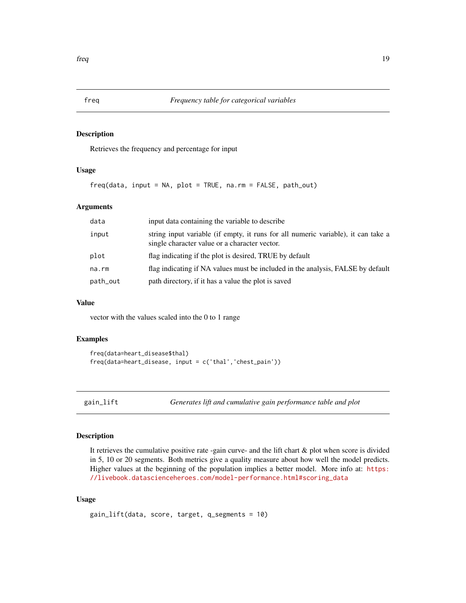<span id="page-18-0"></span>Retrieves the frequency and percentage for input

# Usage

 $freq(data, input = NA, plot = TRUE, na.rm = FALSE, path.out)$ 

### Arguments

| data     | input data containing the variable to describe                                                                                     |  |
|----------|------------------------------------------------------------------------------------------------------------------------------------|--|
| input    | string input variable (if empty, it runs for all numeric variable), it can take a<br>single character value or a character vector. |  |
| plot     | flag indicating if the plot is desired, TRUE by default                                                                            |  |
| na.rm    | flag indicating if NA values must be included in the analysis, FALSE by default                                                    |  |
| path_out | path directory, if it has a value the plot is saved                                                                                |  |

# Value

vector with the values scaled into the 0 to 1 range

# Examples

```
freq(data=heart_disease$thal)
freq(data=heart_disease, input = c('thal','chest_pain'))
```
gain\_lift *Generates lift and cumulative gain performance table and plot*

# Description

It retrieves the cumulative positive rate -gain curve- and the lift chart & plot when score is divided in 5, 10 or 20 segments. Both metrics give a quality measure about how well the model predicts. Higher values at the beginning of the population implies a better model. More info at: [https:](https://livebook.datascienceheroes.com/model-performance.html#scoring_data) [//livebook.datascienceheroes.com/model-performance.html#scoring\\_data](https://livebook.datascienceheroes.com/model-performance.html#scoring_data)

# Usage

```
gain_lift(data, score, target, q_segments = 10)
```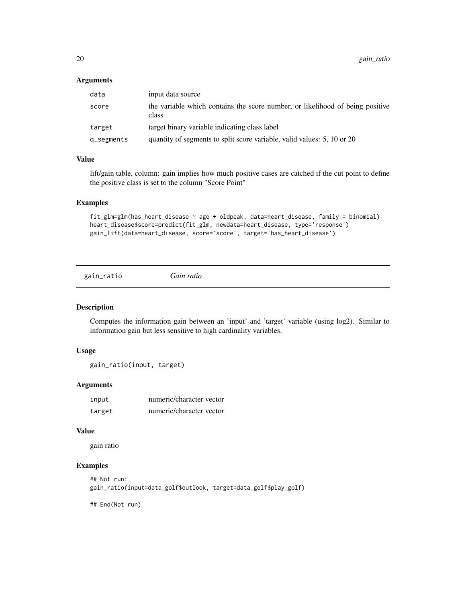### <span id="page-19-0"></span>Arguments

| data          | input data source                                                                      |
|---------------|----------------------------------------------------------------------------------------|
| score         | the variable which contains the score number, or likelihood of being positive<br>class |
| target        | target binary variable indicating class label                                          |
| $q$ _segments | quantity of segments to split score variable, valid values: 5, 10 or 20                |

# Value

lift/gain table, column: gain implies how much positive cases are catched if the cut point to define the positive class is set to the column "Score Point"

#### Examples

```
fit_glm=glm(has_heart_disease ~ age + oldpeak, data=heart_disease, family = binomial)
heart_disease$score=predict(fit_glm, newdata=heart_disease, type='response')
gain_lift(data=heart_disease, score='score', target='has_heart_disease')
```
gain\_ratio *Gain ratio*

### Description

Computes the information gain between an 'input' and 'target' variable (using log2). Similar to information gain but less sensitive to high cardinality variables.

### Usage

gain\_ratio(input, target)

# Arguments

| input  | numeric/character vector |
|--------|--------------------------|
| target | numeric/character vector |

### Value

gain ratio

# Examples

```
## Not run:
gain_ratio(input=data_golf$outlook, target=data_golf$play_golf)
```
## End(Not run)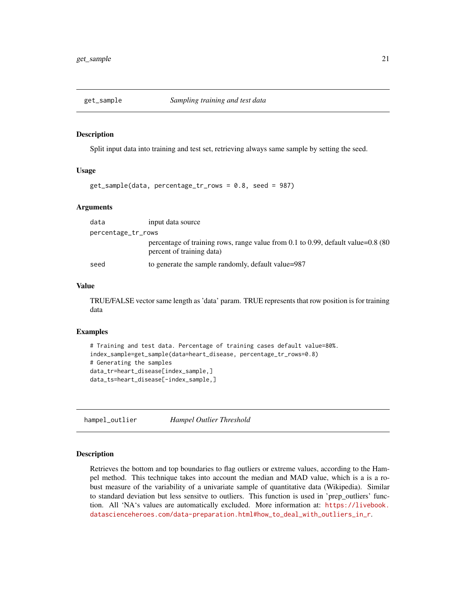<span id="page-20-0"></span>

Split input data into training and test set, retrieving always same sample by setting the seed.

### Usage

```
get_sample(data, percentage_tr_rows = 0.8, seed = 987)
```
### Arguments

| data               | input data source                                                                                                  |
|--------------------|--------------------------------------------------------------------------------------------------------------------|
| percentage_tr_rows |                                                                                                                    |
|                    | percentage of training rows, range value from 0.1 to 0.99, default value= $0.8\,(80)$<br>percent of training data) |
| seed               | to generate the sample randomly, default value=987                                                                 |

# Value

TRUE/FALSE vector same length as 'data' param. TRUE represents that row position is for training data

### Examples

```
# Training and test data. Percentage of training cases default value=80%.
index_sample=get_sample(data=heart_disease, percentage_tr_rows=0.8)
# Generating the samples
data_tr=heart_disease[index_sample,]
data_ts=heart_disease[-index_sample,]
```
hampel\_outlier *Hampel Outlier Threshold*

### **Description**

Retrieves the bottom and top boundaries to flag outliers or extreme values, according to the Hampel method. This technique takes into account the median and MAD value, which is a is a robust measure of the variability of a univariate sample of quantitative data (Wikipedia). Similar to standard deviation but less sensitve to outliers. This function is used in 'prep\_outliers' function. All 'NA's values are automatically excluded. More information at: [https://livebook.](https://livebook.datascienceheroes.com/data-preparation.html#how_to_deal_with_outliers_in_r) [datascienceheroes.com/data-preparation.html#how\\_to\\_deal\\_with\\_outliers\\_in\\_r](https://livebook.datascienceheroes.com/data-preparation.html#how_to_deal_with_outliers_in_r).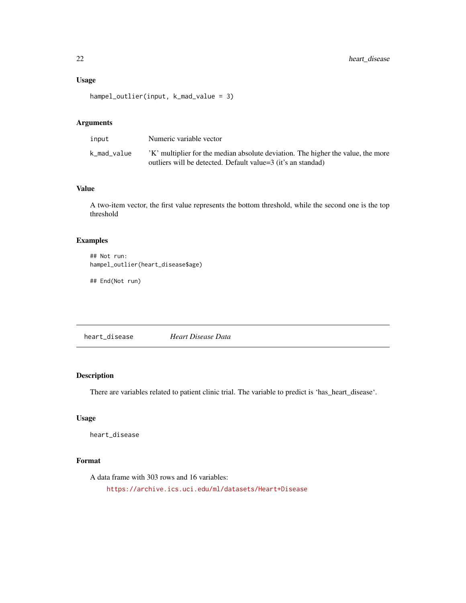# Usage

```
hampel_outlier(input, k_mad_value = 3)
```
# Arguments

| input       | Numeric variable vector                                                                                                                         |
|-------------|-------------------------------------------------------------------------------------------------------------------------------------------------|
| k_mad_value | K' multiplier for the median absolute deviation. The higher the value, the more<br>outliers will be detected. Default value=3 (it's an standad) |

# Value

A two-item vector, the first value represents the bottom threshold, while the second one is the top threshold

# Examples

```
## Not run:
hampel_outlier(heart_disease$age)
```
## End(Not run)

heart\_disease *Heart Disease Data*

# Description

There are variables related to patient clinic trial. The variable to predict is 'has\_heart\_disease'.

# Usage

heart\_disease

# Format

A data frame with 303 rows and 16 variables: <https://archive.ics.uci.edu/ml/datasets/Heart+Disease>

<span id="page-21-0"></span>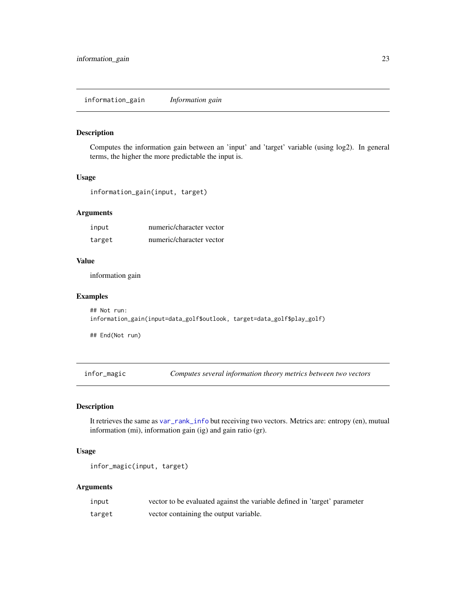<span id="page-22-0"></span>information\_gain *Information gain*

### Description

Computes the information gain between an 'input' and 'target' variable (using log2). In general terms, the higher the more predictable the input is.

# Usage

information\_gain(input, target)

# Arguments

| input  | numeric/character vector |
|--------|--------------------------|
| target | numeric/character vector |

# Value

information gain

### Examples

```
## Not run:
information_gain(input=data_golf$outlook, target=data_golf$play_golf)
```
## End(Not run)

infor\_magic *Computes several information theory metrics between two vectors*

# **Description**

It retrieves the same as [var\\_rank\\_info](#page-28-1) but receiving two vectors. Metrics are: entropy (en), mutual information (mi), information gain (ig) and gain ratio (gr).

# Usage

```
infor_magic(input, target)
```
### Arguments

| input  | vector to be evaluated against the variable defined in 'target' parameter |
|--------|---------------------------------------------------------------------------|
| target | vector containing the output variable.                                    |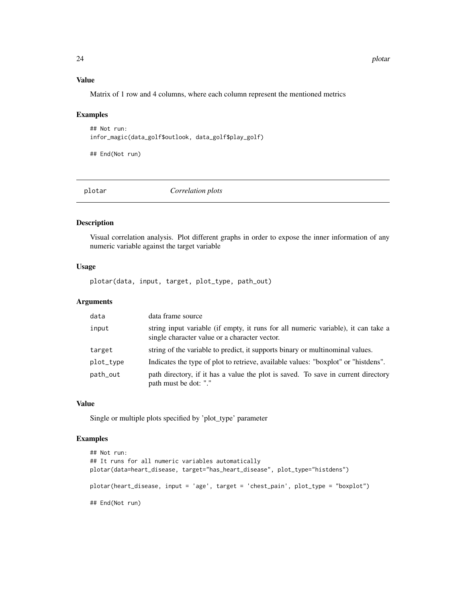# Value

Matrix of 1 row and 4 columns, where each column represent the mentioned metrics

# Examples

```
## Not run:
infor_magic(data_golf$outlook, data_golf$play_golf)
```
## End(Not run)

plotar *Correlation plots*

# Description

Visual correlation analysis. Plot different graphs in order to expose the inner information of any numeric variable against the target variable

# Usage

plotar(data, input, target, plot\_type, path\_out)

# Arguments

| data      | data frame source                                                                                                                  |
|-----------|------------------------------------------------------------------------------------------------------------------------------------|
| input     | string input variable (if empty, it runs for all numeric variable), it can take a<br>single character value or a character vector. |
| target    | string of the variable to predict, it supports binary or multinominal values.                                                      |
| plot_type | Indicates the type of plot to retrieve, available values: "boxplot" or "histdens".                                                 |
| path_out  | path directory, if it has a value the plot is saved. To save in current directory<br>path must be dot: "."                         |

#### Value

Single or multiple plots specified by 'plot\_type' parameter

```
## Not run:
## It runs for all numeric variables automatically
plotar(data=heart_disease, target="has_heart_disease", plot_type="histdens")
plotar(heart_disease, input = 'age', target = 'chest_pain', plot_type = "boxplot")
## End(Not run)
```
<span id="page-23-0"></span>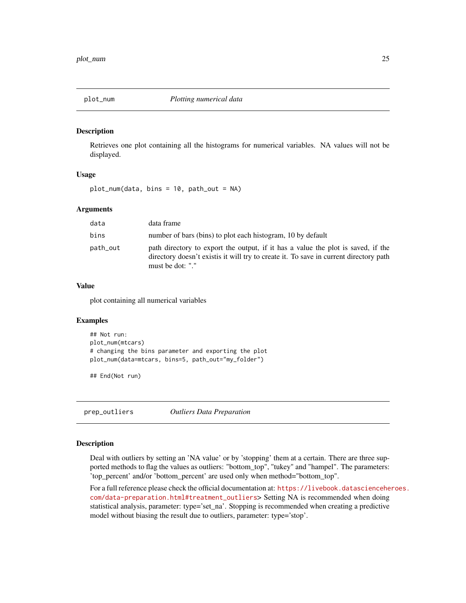<span id="page-24-0"></span>

Retrieves one plot containing all the histograms for numerical variables. NA values will not be displayed.

### Usage

plot\_num(data, bins = 10, path\_out = NA)

# Arguments

| data     | data frame                                                                                                                                                                                    |
|----------|-----------------------------------------------------------------------------------------------------------------------------------------------------------------------------------------------|
| bins     | number of bars (bins) to plot each histogram, 10 by default                                                                                                                                   |
| path_out | path directory to export the output, if it has a value the plot is saved, if the<br>directory doesn't existis it will try to create it. To save in current directory path<br>must be dot: "." |

# Value

plot containing all numerical variables

### Examples

```
## Not run:
plot_num(mtcars)
# changing the bins parameter and exporting the plot
plot_num(data=mtcars, bins=5, path_out="my_folder")
```
## End(Not run)

prep\_outliers *Outliers Data Preparation*

# Description

Deal with outliers by setting an 'NA value' or by 'stopping' them at a certain. There are three supported methods to flag the values as outliers: "bottom\_top", "tukey" and "hampel". The parameters: 'top\_percent' and/or 'bottom\_percent' are used only when method="bottom\_top".

For a full reference please check the official documentation at: [https://livebook.datasciencehe](https://livebook.datascienceheroes.com/data-preparation.html#treatment_outliers)roes. [com/data-preparation.html#treatment\\_outliers](https://livebook.datascienceheroes.com/data-preparation.html#treatment_outliers)> Setting NA is recommended when doing statistical analysis, parameter: type='set\_na'. Stopping is recommended when creating a predictive model without biasing the result due to outliers, parameter: type='stop'.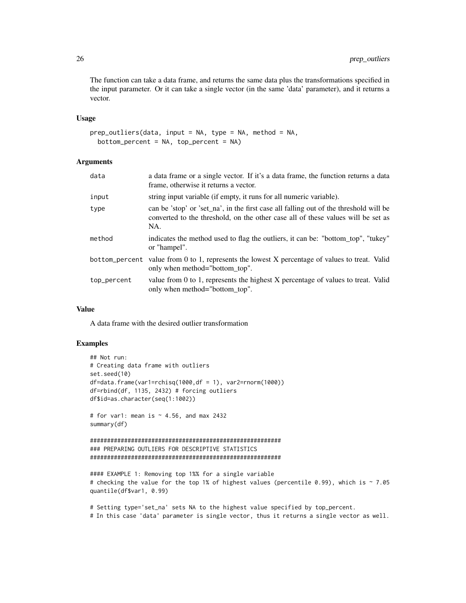The function can take a data frame, and returns the same data plus the transformations specified in the input parameter. Or it can take a single vector (in the same 'data' parameter), and it returns a vector.

#### Usage

```
prep_outliers(data, input = NA, type = NA, method = NA,bottom_percent = NA, top_percent = NA)
```
# Arguments

| data        | a data frame or a single vector. If it's a data frame, the function returns a data<br>frame, otherwise it returns a vector.                                                      |
|-------------|----------------------------------------------------------------------------------------------------------------------------------------------------------------------------------|
| input       | string input variable (if empty, it runs for all numeric variable).                                                                                                              |
| type        | can be 'stop' or 'set_na', in the first case all falling out of the threshold will be<br>converted to the threshold, on the other case all of these values will be set as<br>NA. |
| method      | indicates the method used to flag the outliers, it can be: "bottom_top", "tukey"<br>or "hampel".                                                                                 |
|             | bottom_percent value from 0 to 1, represents the lowest X percentage of values to treat. Valid<br>only when method="bottom top".                                                 |
| top_percent | value from 0 to 1, represents the highest X percentage of values to treat. Valid<br>only when method="bottom_top".                                                               |

# Value

A data frame with the desired outlier transformation

# Examples

```
## Not run:
# Creating data frame with outliers
set.seed(10)
df = data.frame(var1=rchisq(1000,df = 1), var2=rnorm(1000))
df=rbind(df, 1135, 2432) # forcing outliers
df$id=as.character(seq(1:1002))
# for var1: mean is \sim 4.56, and max 2432
summary(df)
########################################################
### PREPARING OUTLIERS FOR DESCRIPTIVE STATISTICS
########################################################
```
#### EXAMPLE 1: Removing top 1%% for a single variable # checking the value for the top 1% of highest values (percentile 0.99), which is ~ 7.05 quantile(df\$var1, 0.99)

# Setting type='set\_na' sets NA to the highest value specified by top\_percent. # In this case 'data' parameter is single vector, thus it returns a single vector as well.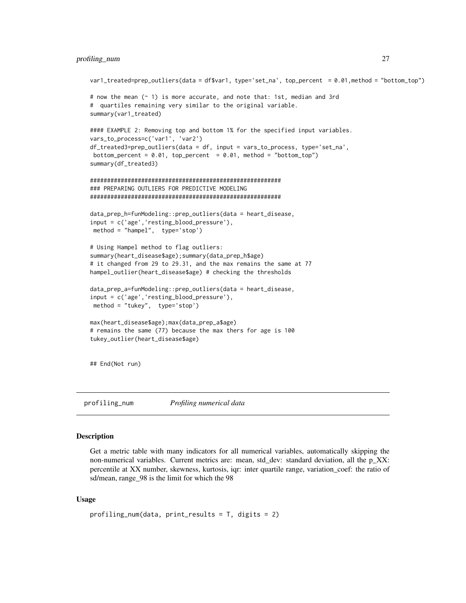### <span id="page-26-0"></span>profiling\_num 27

```
var1_treated=prep_outliers(data = df$var1, type='set_na', top_percent = 0.01,method = "bottom_top")
# now the mean (~ 1) is more accurate, and note that: 1st, median and 3rd
# quartiles remaining very similar to the original variable.
summary(var1_treated)
#### EXAMPLE 2: Removing top and bottom 1% for the specified input variables.
vars_to_process=c('var1', 'var2')
df_treated3=prep_outliers(data = df, input = vars_to_process, type='set_na',
bottom_percent = 0.01, top_percent = 0.01, method = "bottom_top")
summary(df_treated3)
########################################################
### PREPARING OUTLIERS FOR PREDICTIVE MODELING
########################################################
data_prep_h=funModeling::prep_outliers(data = heart_disease,
input = c('age','resting_blood_pressure'),
method = "hampel", type='stop')
# Using Hampel method to flag outliers:
summary(heart_disease$age);summary(data_prep_h$age)
# it changed from 29 to 29.31, and the max remains the same at 77
hampel_outlier(heart_disease$age) # checking the thresholds
data_prep_a=funModeling::prep_outliers(data = heart_disease,
input = c('age','resting_blood_pressure'),
method = "tukey", type='stop')
max(heart_disease$age);max(data_prep_a$age)
# remains the same (77) because the max thers for age is 100
tukey_outlier(heart_disease$age)
## End(Not run)
```
profiling\_num *Profiling numerical data*

### Description

Get a metric table with many indicators for all numerical variables, automatically skipping the non-numerical variables. Current metrics are: mean, std\_dev: standard deviation, all the p\_XX: percentile at XX number, skewness, kurtosis, iqr: inter quartile range, variation\_coef: the ratio of sd/mean, range\_98 is the limit for which the 98

### Usage

```
profiling_num(data, print_results = T, digits = 2)
```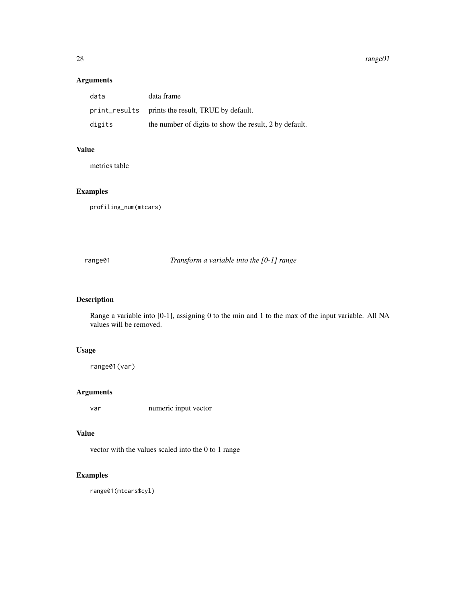### 28 range01

# Arguments

| data   | data frame                                             |
|--------|--------------------------------------------------------|
|        | print_results prints the result, TRUE by default.      |
| digits | the number of digits to show the result, 2 by default. |

# Value

metrics table

# Examples

profiling\_num(mtcars)

range01 *Transform a variable into the [0-1] range*

# Description

Range a variable into [0-1], assigning 0 to the min and 1 to the max of the input variable. All NA values will be removed.

# Usage

range01(var)

# Arguments

var numeric input vector

## Value

vector with the values scaled into the 0 to 1 range

# Examples

range01(mtcars\$cyl)

<span id="page-27-0"></span>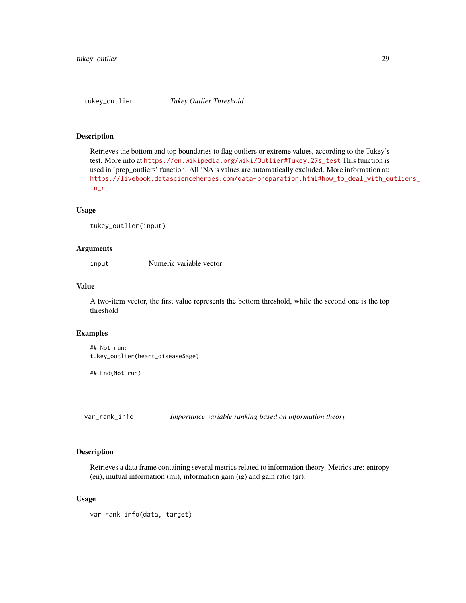<span id="page-28-0"></span>

Retrieves the bottom and top boundaries to flag outliers or extreme values, according to the Tukey's test. More info at [https://en.wikipedia.org/wiki/Outlier#Tukey.27s\\_test](https://en.wikipedia.org/wiki/Outlier#Tukey.27s_test) This function is used in 'prep\_outliers' function. All 'NA's values are automatically excluded. More information at: [https://livebook.datascienceheroes.com/data-preparation.html#how\\_to\\_deal\\_with\\_ou](https://livebook.datascienceheroes.com/data-preparation.html#how_to_deal_with_outliers_in_r)tliers\_ [in\\_r](https://livebook.datascienceheroes.com/data-preparation.html#how_to_deal_with_outliers_in_r).

### Usage

```
tukey_outlier(input)
```
### Arguments

input Numeric variable vector

### Value

A two-item vector, the first value represents the bottom threshold, while the second one is the top threshold

### Examples

```
## Not run:
tukey_outlier(heart_disease$age)
```
## End(Not run)

<span id="page-28-1"></span>var\_rank\_info *Importance variable ranking based on information theory*

### Description

Retrieves a data frame containing several metrics related to information theory. Metrics are: entropy (en), mutual information (mi), information gain (ig) and gain ratio (gr).

# Usage

var\_rank\_info(data, target)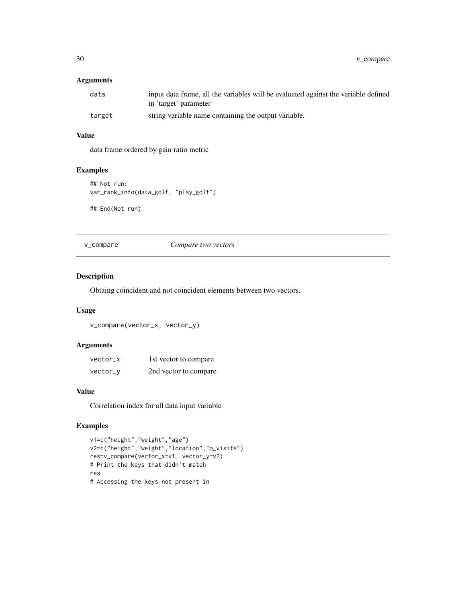<span id="page-29-0"></span>30 v\_compare

# Arguments

| data   | input data frame, all the variables will be evaluated against the variable defined<br>in 'target' parameter |
|--------|-------------------------------------------------------------------------------------------------------------|
| target | string variable name containing the output variable.                                                        |

# Value

data frame ordered by gain ratio metric

# Examples

```
## Not run:
var_rank_info(data_golf, "play_golf")
## End(Not run)
```
v\_compare *Compare two vectors*

# Description

Obtaing coincident and not coincident elements between two vectors.

# Usage

```
v_compare(vector_x, vector_y)
```
# Arguments

| vector x | 1st vector to compare |
|----------|-----------------------|
| vector_y | 2nd vector to compare |

# Value

Correlation index for all data input variable

```
v1=c("height","weight","age")
v2=c("height","weight","location","q_visits")
res=v_compare(vector_x=v1, vector_y=v2)
# Print the keys that didn't match
res
# Accessing the keys not present in
```